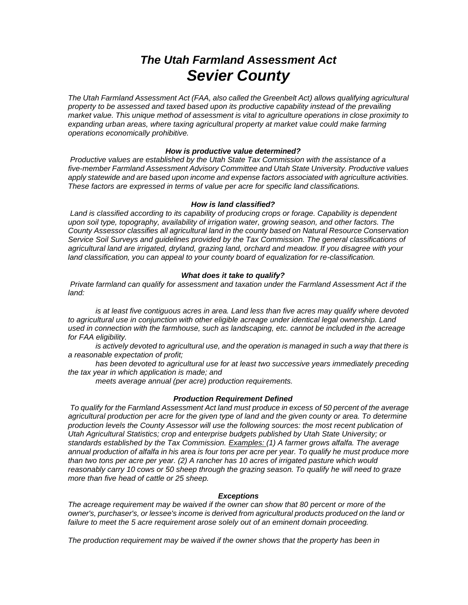# *The Utah Farmland Assessment Act Sevier County*

*The Utah Farmland Assessment Act (FAA, also called the Greenbelt Act) allows qualifying agricultural property to be assessed and taxed based upon its productive capability instead of the prevailing market value. This unique method of assessment is vital to agriculture operations in close proximity to expanding urban areas, where taxing agricultural property at market value could make farming operations economically prohibitive.* 

# *How is productive value determined?*

*Productive values are established by the Utah State Tax Commission with the assistance of a five-member Farmland Assessment Advisory Committee and Utah State University. Productive values apply statewide and are based upon income and expense factors associated with agriculture activities. These factors are expressed in terms of value per acre for specific land classifications.* 

# *How is land classified?*

*Land is classified according to its capability of producing crops or forage. Capability is dependent upon soil type, topography, availability of irrigation water, growing season, and other factors. The County Assessor classifies all agricultural land in the county based on Natural Resource Conservation Service Soil Surveys and guidelines provided by the Tax Commission. The general classifications of agricultural land are irrigated, dryland, grazing land, orchard and meadow. If you disagree with your land classification, you can appeal to your county board of equalization for re-classification.* 

# *What does it take to qualify?*

*Private farmland can qualify for assessment and taxation under the Farmland Assessment Act if the land:* 

*is at least five contiguous acres in area. Land less than five acres may qualify where devoted to agricultural use in conjunction with other eligible acreage under identical legal ownership. Land used in connection with the farmhouse, such as landscaping, etc. cannot be included in the acreage for FAA eligibility.* 

*is actively devoted to agricultural use, and the operation is managed in such a way that there is a reasonable expectation of profit;* 

*has been devoted to agricultural use for at least two successive years immediately preceding the tax year in which application is made; and* 

*meets average annual (per acre) production requirements.* 

## *Production Requirement Defined*

*To qualify for the Farmland Assessment Act land must produce in excess of 50 percent of the average*  agricultural production per acre for the given type of land and the given county or area. To determine *production levels the County Assessor will use the following sources: the most recent publication of Utah Agricultural Statistics; crop and enterprise budgets published by Utah State University; or standards established by the Tax Commission. Examples: (1) A farmer grows alfalfa. The average annual production of alfalfa in his area is four tons per acre per year. To qualify he must produce more than two tons per acre per year. (2) A rancher has 10 acres of irrigated pasture which would reasonably carry 10 cows or 50 sheep through the grazing season. To qualify he will need to graze more than five head of cattle or 25 sheep.* 

# *Exceptions*

*The acreage requirement may be waived if the owner can show that 80 percent or more of the owner's, purchaser's, or lessee's income is derived from agricultural products produced on the land or failure to meet the 5 acre requirement arose solely out of an eminent domain proceeding.* 

*The production requirement may be waived if the owner shows that the property has been in*